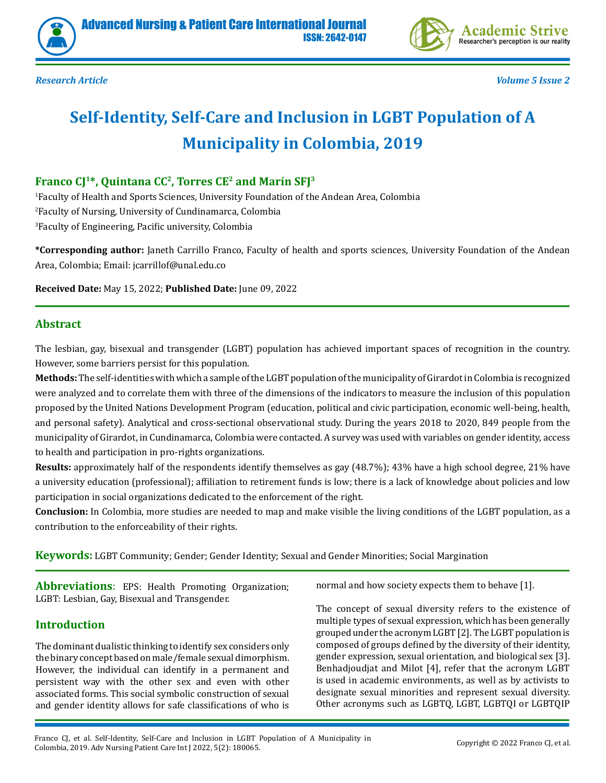





# **Self-Identity, Self-Care and Inclusion in LGBT Population of A Municipality in Colombia, 2019**

# Franco CJ<sup>1\*</sup>, Quintana CC<sup>2</sup>, Torres CE<sup>2</sup> and Marín SFJ<sup>3</sup>

1 Faculty of Health and Sports Sciences, University Foundation of the Andean Area, Colombia 2 Faculty of Nursing, University of Cundinamarca, Colombia 3 Faculty of Engineering, Pacific university, Colombia

**\*Corresponding author:** Janeth Carrillo Franco, Faculty of health and sports sciences, University Foundation of the Andean Area, Colombia; Email: jcarrillof@unal.edu.co

**Received Date:** May 15, 2022; **Published Date:** June 09, 2022

#### **Abstract**

The lesbian, gay, bisexual and transgender (LGBT) population has achieved important spaces of recognition in the country. However, some barriers persist for this population.

**Methods:** The self-identities with which a sample of the LGBT population of the municipality of Girardot in Colombia is recognized were analyzed and to correlate them with three of the dimensions of the indicators to measure the inclusion of this population proposed by the United Nations Development Program (education, political and civic participation, economic well-being, health, and personal safety). Analytical and cross-sectional observational study. During the years 2018 to 2020, 849 people from the municipality of Girardot, in Cundinamarca, Colombia were contacted. A survey was used with variables on gender identity, access to health and participation in pro-rights organizations.

**Results:** approximately half of the respondents identify themselves as gay (48.7%); 43% have a high school degree, 21% have a university education (professional); affiliation to retirement funds is low; there is a lack of knowledge about policies and low participation in social organizations dedicated to the enforcement of the right.

**Conclusion:** In Colombia, more studies are needed to map and make visible the living conditions of the LGBT population, as a contribution to the enforceability of their rights.

**Keywords:** LGBT Community; Gender; Gender Identity; Sexual and Gender Minorities; Social Margination

**Abbreviations**: EPS: Health Promoting Organization; LGBT: Lesbian, Gay, Bisexual and Transgender.

# **Introduction**

The dominant dualistic thinking to identify sex considers only the binary concept based on male/female sexual dimorphism. However, the individual can identify in a permanent and persistent way with the other sex and even with other associated forms. This social symbolic construction of sexual and gender identity allows for safe classifications of who is normal and how society expects them to behave [1].

The concept of sexual diversity refers to the existence of multiple types of sexual expression, which has been generally grouped under the acronym LGBT [2]. The LGBT population is composed of groups defined by the diversity of their identity, gender expression, sexual orientation, and biological sex [3]. Benhadjoudjat and Milot [4], refer that the acronym LGBT is used in academic environments, as well as by activists to designate sexual minorities and represent sexual diversity. Other acronyms such as LGBTQ, LGBT, LGBTQI or LGBTQIP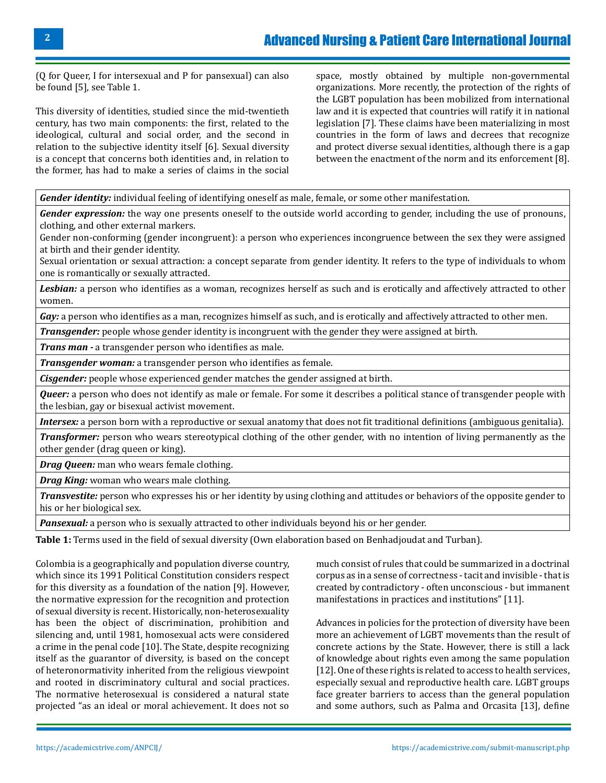(Q for Queer, I for intersexual and P for pansexual) can also be found [5], see Table 1.

This diversity of identities, studied since the mid-twentieth century, has two main components: the first, related to the ideological, cultural and social order, and the second in relation to the subjective identity itself [6]. Sexual diversity is a concept that concerns both identities and, in relation to the former, has had to make a series of claims in the social

space, mostly obtained by multiple non-governmental organizations. More recently, the protection of the rights of the LGBT population has been mobilized from international law and it is expected that countries will ratify it in national legislation [7]. These claims have been materializing in most countries in the form of laws and decrees that recognize and protect diverse sexual identities, although there is a gap between the enactment of the norm and its enforcement [8].

*Gender identity:* individual feeling of identifying oneself as male, female, or some other manifestation.

*Gender expression:* the way one presents oneself to the outside world according to gender, including the use of pronouns, clothing, and other external markers.

Gender non-conforming (gender incongruent): a person who experiences incongruence between the sex they were assigned at birth and their gender identity.

Sexual orientation or sexual attraction: a concept separate from gender identity. It refers to the type of individuals to whom one is romantically or sexually attracted.

*Lesbian:* a person who identifies as a woman, recognizes herself as such and is erotically and affectively attracted to other women.

Gay: a person who identifies as a man, recognizes himself as such, and is erotically and affectively attracted to other men.

*Transgender:* people whose gender identity is incongruent with the gender they were assigned at birth.

*Trans man -* a transgender person who identifies as male.

*Transgender woman:* a transgender person who identifies as female.

*Cisgender:* people whose experienced gender matches the gender assigned at birth.

*Queer:* a person who does not identify as male or female. For some it describes a political stance of transgender people with the lesbian, gay or bisexual activist movement.

*Intersex:* a person born with a reproductive or sexual anatomy that does not fit traditional definitions (ambiguous genitalia).

*Transformer:* person who wears stereotypical clothing of the other gender, with no intention of living permanently as the other gender (drag queen or king).

*Drag Queen:* man who wears female clothing.

*Drag King:* woman who wears male clothing.

*Transvestite:* person who expresses his or her identity by using clothing and attitudes or behaviors of the opposite gender to his or her biological sex.

*Pansexual:* a person who is sexually attracted to other individuals beyond his or her gender.

**Table 1:** Terms used in the field of sexual diversity (Own elaboration based on Benhadjoudat and Turban).

Colombia is a geographically and population diverse country, which since its 1991 Political Constitution considers respect for this diversity as a foundation of the nation [9]. However, the normative expression for the recognition and protection of sexual diversity is recent. Historically, non-heterosexuality has been the object of discrimination, prohibition and silencing and, until 1981, homosexual acts were considered a crime in the penal code [10]. The State, despite recognizing itself as the guarantor of diversity, is based on the concept of heteronormativity inherited from the religious viewpoint and rooted in discriminatory cultural and social practices. The normative heterosexual is considered a natural state projected "as an ideal or moral achievement. It does not so

much consist of rules that could be summarized in a doctrinal corpus as in a sense of correctness - tacit and invisible - that is created by contradictory - often unconscious - but immanent manifestations in practices and institutions" [11].

Advances in policies for the protection of diversity have been more an achievement of LGBT movements than the result of concrete actions by the State. However, there is still a lack of knowledge about rights even among the same population [12]. One of these rights is related to access to health services, especially sexual and reproductive health care. LGBT groups face greater barriers to access than the general population and some authors, such as Palma and Orcasita [13], define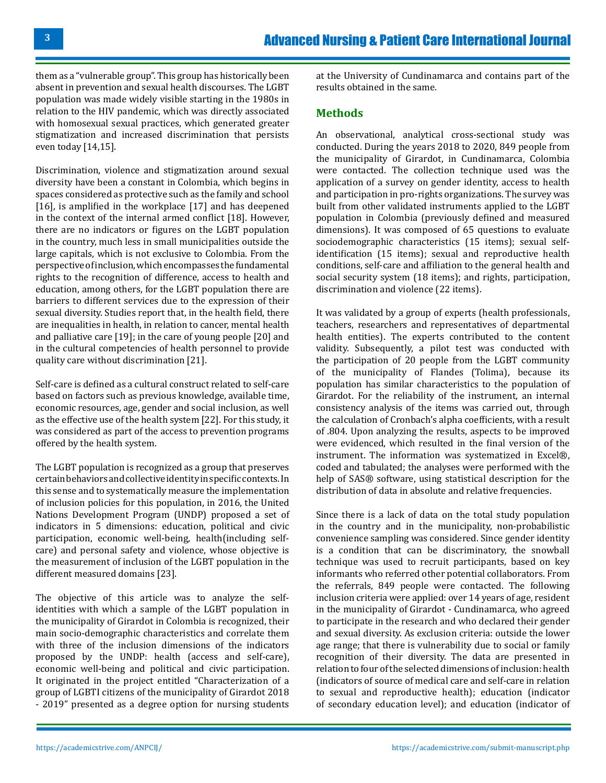them as a "vulnerable group". This group has historically been absent in prevention and sexual health discourses. The LGBT population was made widely visible starting in the 1980s in relation to the HIV pandemic, which was directly associated with homosexual sexual practices, which generated greater stigmatization and increased discrimination that persists even today [14,15].

Discrimination, violence and stigmatization around sexual diversity have been a constant in Colombia, which begins in spaces considered as protective such as the family and school [16], is amplified in the workplace [17] and has deepened in the context of the internal armed conflict [18]. However, there are no indicators or figures on the LGBT population in the country, much less in small municipalities outside the large capitals, which is not exclusive to Colombia. From the perspective of inclusion, which encompasses the fundamental rights to the recognition of difference, access to health and education, among others, for the LGBT population there are barriers to different services due to the expression of their sexual diversity. Studies report that, in the health field, there are inequalities in health, in relation to cancer, mental health and palliative care [19]; in the care of young people [20] and in the cultural competencies of health personnel to provide quality care without discrimination [21].

Self-care is defined as a cultural construct related to self-care based on factors such as previous knowledge, available time, economic resources, age, gender and social inclusion, as well as the effective use of the health system [22]. For this study, it was considered as part of the access to prevention programs offered by the health system.

The LGBT population is recognized as a group that preserves certain behaviors and collective identity in specific contexts. In this sense and to systematically measure the implementation of inclusion policies for this population, in 2016, the United Nations Development Program (UNDP) proposed a set of indicators in 5 dimensions: education, political and civic participation, economic well-being, health(including selfcare) and personal safety and violence, whose objective is the measurement of inclusion of the LGBT population in the different measured domains [23].

The objective of this article was to analyze the selfidentities with which a sample of the LGBT population in the municipality of Girardot in Colombia is recognized, their main socio-demographic characteristics and correlate them with three of the inclusion dimensions of the indicators proposed by the UNDP: health (access and self-care), economic well-being and political and civic participation. It originated in the project entitled "Characterization of a group of LGBTI citizens of the municipality of Girardot 2018 - 2019" presented as a degree option for nursing students at the University of Cundinamarca and contains part of the results obtained in the same.

# **Methods**

An observational, analytical cross-sectional study was conducted. During the years 2018 to 2020, 849 people from the municipality of Girardot, in Cundinamarca, Colombia were contacted. The collection technique used was the application of a survey on gender identity, access to health and participation in pro-rights organizations. The survey was built from other validated instruments applied to the LGBT population in Colombia (previously defined and measured dimensions). It was composed of 65 questions to evaluate sociodemographic characteristics (15 items); sexual selfidentification (15 items); sexual and reproductive health conditions, self-care and affiliation to the general health and social security system (18 items); and rights, participation, discrimination and violence (22 items).

It was validated by a group of experts (health professionals, teachers, researchers and representatives of departmental health entities). The experts contributed to the content validity. Subsequently, a pilot test was conducted with the participation of 20 people from the LGBT community of the municipality of Flandes (Tolima), because its population has similar characteristics to the population of Girardot. For the reliability of the instrument, an internal consistency analysis of the items was carried out, through the calculation of Cronbach's alpha coefficients, with a result of .804. Upon analyzing the results, aspects to be improved were evidenced, which resulted in the final version of the instrument. The information was systematized in Excel®, coded and tabulated; the analyses were performed with the help of SAS® software, using statistical description for the distribution of data in absolute and relative frequencies.

Since there is a lack of data on the total study population in the country and in the municipality, non-probabilistic convenience sampling was considered. Since gender identity is a condition that can be discriminatory, the snowball technique was used to recruit participants, based on key informants who referred other potential collaborators. From the referrals, 849 people were contacted. The following inclusion criteria were applied: over 14 years of age, resident in the municipality of Girardot - Cundinamarca, who agreed to participate in the research and who declared their gender and sexual diversity. As exclusion criteria: outside the lower age range; that there is vulnerability due to social or family recognition of their diversity. The data are presented in relation to four of the selected dimensions of inclusion: health (indicators of source of medical care and self-care in relation to sexual and reproductive health); education (indicator of secondary education level); and education (indicator of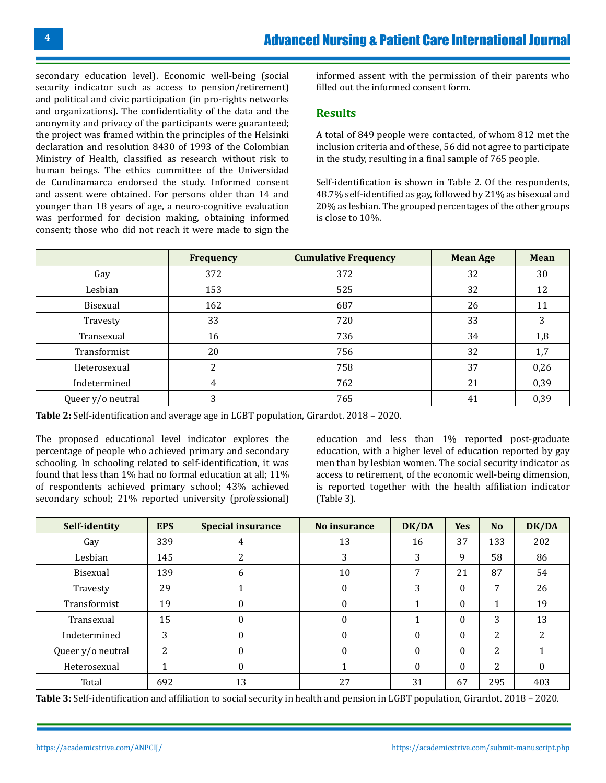secondary education level). Economic well-being (social security indicator such as access to pension/retirement) and political and civic participation (in pro-rights networks and organizations). The confidentiality of the data and the anonymity and privacy of the participants were guaranteed; the project was framed within the principles of the Helsinki declaration and resolution 8430 of 1993 of the Colombian Ministry of Health, classified as research without risk to human beings. The ethics committee of the Universidad de Cundinamarca endorsed the study. Informed consent and assent were obtained. For persons older than 14 and younger than 18 years of age, a neuro-cognitive evaluation was performed for decision making, obtaining informed consent; those who did not reach it were made to sign the

informed assent with the permission of their parents who filled out the informed consent form.

#### **Results**

A total of 849 people were contacted, of whom 812 met the inclusion criteria and of these, 56 did not agree to participate in the study, resulting in a final sample of 765 people.

Self-identification is shown in Table 2. Of the respondents, 48.7% self-identified as gay, followed by 21% as bisexual and 20% as lesbian. The grouped percentages of the other groups is close to 10%.

|                   | <b>Frequency</b> | <b>Cumulative Frequency</b> | <b>Mean Age</b> | <b>Mean</b> |
|-------------------|------------------|-----------------------------|-----------------|-------------|
| Gay               | 372              | 372                         | 32              | 30          |
| Lesbian           | 153              | 525                         | 32              | 12          |
| <b>Bisexual</b>   | 162              | 687                         | 26              |             |
| Travesty          | 33               | 720                         | 33              | 3           |
| Transexual        | 16               | 736                         | 34              | 1,8         |
| Transformist      | 20               | 756                         | 32              | 1,7         |
| Heterosexual      | C<br>∠           | 758                         | 37              | 0,26        |
| Indetermined      | 4                | 762                         | 21              | 0,39        |
| Queer y/o neutral | 3                | 765                         | 41              | 0,39        |

**Table 2:** Self-identification and average age in LGBT population, Girardot. 2018 – 2020.

The proposed educational level indicator explores the percentage of people who achieved primary and secondary schooling. In schooling related to self-identification, it was found that less than 1% had no formal education at all; 11% of respondents achieved primary school; 43% achieved secondary school; 21% reported university (professional) education and less than 1% reported post-graduate education, with a higher level of education reported by gay men than by lesbian women. The social security indicator as access to retirement, of the economic well-being dimension, is reported together with the health affiliation indicator (Table 3).

| Self-identity     | <b>EPS</b> | <b>Special insurance</b> | No insurance | DK/DA    | <b>Yes</b> | N <sub>o</sub> | DK/DA    |
|-------------------|------------|--------------------------|--------------|----------|------------|----------------|----------|
| Gay               | 339        | 4                        | 13           | 16       | 37         | 133            | 202      |
| Lesbian           | 145        |                          | 3            | 3        | 9          | 58             | 86       |
| Bisexual          | 139        | 6                        | 10           | 7        | 21         | 87             | 54       |
| Travesty          | 29         |                          | $\Omega$     | 3        | 0          | 7              | 26       |
| Transformist      | 19         | $\theta$                 | $\theta$     |          | $\theta$   |                | 19       |
| Transexual        | 15         | $\Omega$                 | $\Omega$     |          | $\theta$   | 3              | 13       |
| Indetermined      | 3          | $\Omega$                 | $\Omega$     | 0        | $\Omega$   | 2              | 2        |
| Queer y/o neutral | 2          | $\Omega$                 | $\theta$     | $\Omega$ | $\theta$   | 2              |          |
| Heterosexual      | 1          | $\theta$                 |              | $\Omega$ | 0          | 2              | $\theta$ |
| Total             | 692        | 13                       | 27           | 31       | 67         | 295            | 403      |

**Table 3:** Self-identification and affiliation to social security in health and pension in LGBT population, Girardot. 2018 – 2020.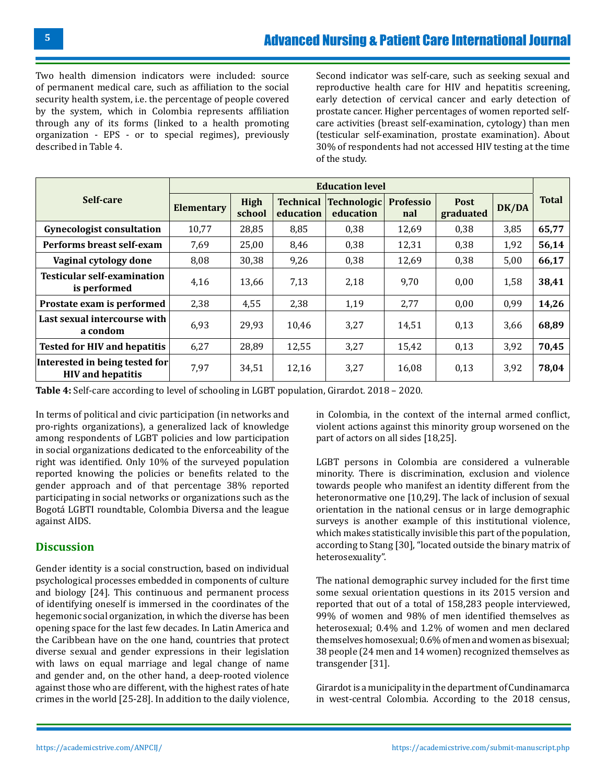Two health dimension indicators were included: source of permanent medical care, such as affiliation to the social security health system, i.e. the percentage of people covered by the system, which in Colombia represents affiliation through any of its forms (linked to a health promoting organization - EPS - or to special regimes), previously described in Table 4.

Second indicator was self-care, such as seeking sexual and reproductive health care for HIV and hepatitis screening, early detection of cervical cancer and early detection of prostate cancer. Higher percentages of women reported selfcare activities (breast self-examination, cytology) than men (testicular self-examination, prostate examination). About 30% of respondents had not accessed HIV testing at the time of the study.

|                                                            | <b>Education level</b> |                       |                               |                          |                         |                          |       |              |
|------------------------------------------------------------|------------------------|-----------------------|-------------------------------|--------------------------|-------------------------|--------------------------|-------|--------------|
| Self-care                                                  | <b>Elementary</b>      | <b>High</b><br>school | <b>Technical</b><br>education | Technologic<br>education | <b>Professio</b><br>nal | <b>Post</b><br>graduated | DK/DA | <b>Total</b> |
| <b>Gynecologist consultation</b>                           | 10,77                  | 28,85                 | 8,85                          | 0,38                     | 12,69                   | 0,38                     | 3,85  | 65,77        |
| Performs breast self-exam                                  | 7,69                   | 25,00                 | 8,46                          | 0,38                     | 12,31                   | 0,38                     | 1,92  | 56,14        |
| Vaginal cytology done                                      | 8,08                   | 30,38                 | 9,26                          | 0,38                     | 12,69                   | 0,38                     | 5,00  | 66,17        |
| <b>Testicular self-examination</b><br>is performed         | 4,16                   | 13,66                 | 7,13                          | 2,18                     | 9,70                    | 0.00                     | 1,58  | 38,41        |
| Prostate exam is performed                                 | 2,38                   | 4,55                  | 2,38                          | 1,19                     | 2,77                    | 0.00                     | 0,99  | 14,26        |
| Last sexual intercourse with<br>a condom                   | 6,93                   | 29,93                 | 10,46                         | 3,27                     | 14,51                   | 0,13                     | 3,66  | 68,89        |
| <b>Tested for HIV and hepatitis</b>                        | 6,27                   | 28,89                 | 12,55                         | 3,27                     | 15,42                   | 0,13                     | 3,92  | 70,45        |
| Interested in being tested for<br><b>HIV</b> and hepatitis | 7,97                   | 34,51                 | 12,16                         | 3,27                     | 16,08                   | 0,13                     | 3,92  | 78,04        |

**Table 4:** Self-care according to level of schooling in LGBT population, Girardot. 2018 – 2020.

In terms of political and civic participation (in networks and pro-rights organizations), a generalized lack of knowledge among respondents of LGBT policies and low participation in social organizations dedicated to the enforceability of the right was identified. Only 10% of the surveyed population reported knowing the policies or benefits related to the gender approach and of that percentage 38% reported participating in social networks or organizations such as the Bogotá LGBTI roundtable, Colombia Diversa and the league against AIDS.

# **Discussion**

Gender identity is a social construction, based on individual psychological processes embedded in components of culture and biology [24]. This continuous and permanent process of identifying oneself is immersed in the coordinates of the hegemonic social organization, in which the diverse has been opening space for the last few decades. In Latin America and the Caribbean have on the one hand, countries that protect diverse sexual and gender expressions in their legislation with laws on equal marriage and legal change of name and gender and, on the other hand, a deep-rooted violence against those who are different, with the highest rates of hate crimes in the world [25-28]. In addition to the daily violence, in Colombia, in the context of the internal armed conflict, violent actions against this minority group worsened on the part of actors on all sides [18,25].

LGBT persons in Colombia are considered a vulnerable minority. There is discrimination, exclusion and violence towards people who manifest an identity different from the heteronormative one [10,29]. The lack of inclusion of sexual orientation in the national census or in large demographic surveys is another example of this institutional violence, which makes statistically invisible this part of the population, according to Stang [30], "located outside the binary matrix of heterosexuality".

The national demographic survey included for the first time some sexual orientation questions in its 2015 version and reported that out of a total of 158,283 people interviewed, 99% of women and 98% of men identified themselves as heterosexual; 0.4% and 1.2% of women and men declared themselves homosexual; 0.6% of men and women as bisexual; 38 people (24 men and 14 women) recognized themselves as transgender [31].

Girardot is a municipality in the department of Cundinamarca in west-central Colombia. According to the 2018 census,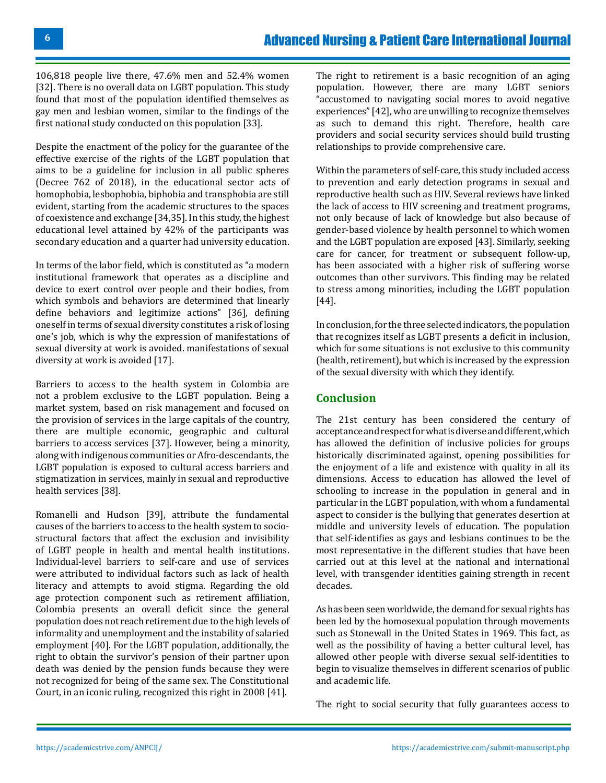106,818 people live there, 47.6% men and 52.4% women [32]. There is no overall data on LGBT population. This study found that most of the population identified themselves as gay men and lesbian women, similar to the findings of the first national study conducted on this population [33].

Despite the enactment of the policy for the guarantee of the effective exercise of the rights of the LGBT population that aims to be a guideline for inclusion in all public spheres (Decree 762 of 2018), in the educational sector acts of homophobia, lesbophobia, biphobia and transphobia are still evident, starting from the academic structures to the spaces of coexistence and exchange [34,35]. In this study, the highest educational level attained by 42% of the participants was secondary education and a quarter had university education.

In terms of the labor field, which is constituted as "a modern institutional framework that operates as a discipline and device to exert control over people and their bodies, from which symbols and behaviors are determined that linearly define behaviors and legitimize actions" [36], defining oneself in terms of sexual diversity constitutes a risk of losing one's job, which is why the expression of manifestations of sexual diversity at work is avoided. manifestations of sexual diversity at work is avoided [17].

Barriers to access to the health system in Colombia are not a problem exclusive to the LGBT population. Being a market system, based on risk management and focused on the provision of services in the large capitals of the country, there are multiple economic, geographic and cultural barriers to access services [37]. However, being a minority, along with indigenous communities or Afro-descendants, the LGBT population is exposed to cultural access barriers and stigmatization in services, mainly in sexual and reproductive health services [38].

Romanelli and Hudson [39], attribute the fundamental causes of the barriers to access to the health system to sociostructural factors that affect the exclusion and invisibility of LGBT people in health and mental health institutions. Individual-level barriers to self-care and use of services were attributed to individual factors such as lack of health literacy and attempts to avoid stigma. Regarding the old age protection component such as retirement affiliation, Colombia presents an overall deficit since the general population does not reach retirement due to the high levels of informality and unemployment and the instability of salaried employment [40]. For the LGBT population, additionally, the right to obtain the survivor's pension of their partner upon death was denied by the pension funds because they were not recognized for being of the same sex. The Constitutional Court, in an iconic ruling, recognized this right in 2008 [41].

The right to retirement is a basic recognition of an aging population. However, there are many LGBT seniors "accustomed to navigating social mores to avoid negative experiences" [42], who are unwilling to recognize themselves as such to demand this right. Therefore, health care providers and social security services should build trusting relationships to provide comprehensive care.

Within the parameters of self-care, this study included access to prevention and early detection programs in sexual and reproductive health such as HIV. Several reviews have linked the lack of access to HIV screening and treatment programs, not only because of lack of knowledge but also because of gender-based violence by health personnel to which women and the LGBT population are exposed [43]. Similarly, seeking care for cancer, for treatment or subsequent follow-up, has been associated with a higher risk of suffering worse outcomes than other survivors. This finding may be related to stress among minorities, including the LGBT population [44].

In conclusion, for the three selected indicators, the population that recognizes itself as LGBT presents a deficit in inclusion, which for some situations is not exclusive to this community (health, retirement), but which is increased by the expression of the sexual diversity with which they identify.

# **Conclusion**

The 21st century has been considered the century of acceptance and respect for what is diverse and different, which has allowed the definition of inclusive policies for groups historically discriminated against, opening possibilities for the enjoyment of a life and existence with quality in all its dimensions. Access to education has allowed the level of schooling to increase in the population in general and in particular in the LGBT population, with whom a fundamental aspect to consider is the bullying that generates desertion at middle and university levels of education. The population that self-identifies as gays and lesbians continues to be the most representative in the different studies that have been carried out at this level at the national and international level, with transgender identities gaining strength in recent decades.

As has been seen worldwide, the demand for sexual rights has been led by the homosexual population through movements such as Stonewall in the United States in 1969. This fact, as well as the possibility of having a better cultural level, has allowed other people with diverse sexual self-identities to begin to visualize themselves in different scenarios of public and academic life.

The right to social security that fully guarantees access to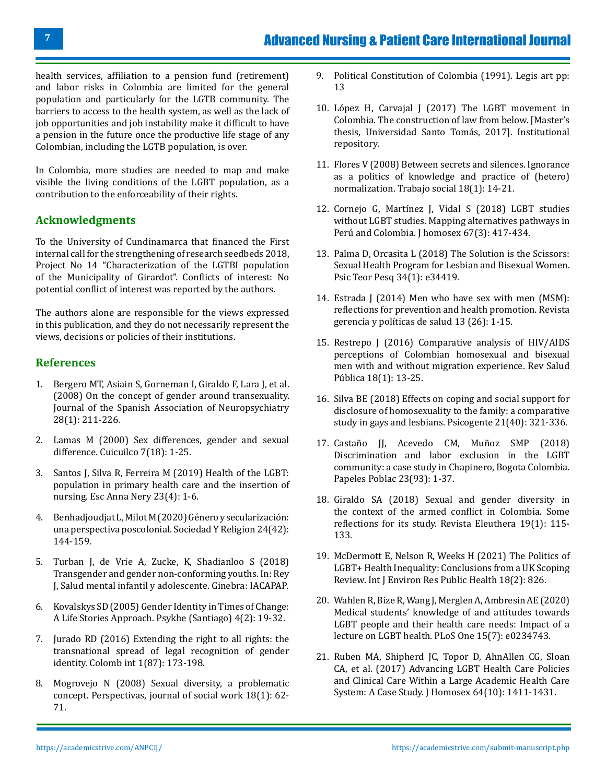health services, affiliation to a pension fund (retirement) and labor risks in Colombia are limited for the general population and particularly for the LGTB community. The barriers to access to the health system, as well as the lack of job opportunities and job instability make it difficult to have a pension in the future once the productive life stage of any Colombian, including the LGTB population, is over.

In Colombia, more studies are needed to map and make visible the living conditions of the LGBT population, as a contribution to the enforceability of their rights.

# **Acknowledgments**

To the University of Cundinamarca that financed the First internal call for the strengthening of research seedbeds 2018, Project No 14 "Characterization of the LGTBI population of the Municipality of Girardot". Conflicts of interest: No potential conflict of interest was reported by the authors.

The authors alone are responsible for the views expressed in this publication, and they do not necessarily represent the views, decisions or policies of their institutions.

#### **References**

- 1. [Bergero MT, Asiain S, Gorneman I, Giraldo F, Lara J, et al.](https://scielo.isciii.es/scielo.php?script=sci_arttext&pid=S0211-57352008000100013&lng=en&nrm=iso&tlng=en) [\(2008\) On the concept of gender around transexuality.](https://scielo.isciii.es/scielo.php?script=sci_arttext&pid=S0211-57352008000100013&lng=en&nrm=iso&tlng=en) [Journal of the Spanish Association of Neuropsychiatry](https://scielo.isciii.es/scielo.php?script=sci_arttext&pid=S0211-57352008000100013&lng=en&nrm=iso&tlng=en) [28\(1\): 211-226.](https://scielo.isciii.es/scielo.php?script=sci_arttext&pid=S0211-57352008000100013&lng=en&nrm=iso&tlng=en)
- 2. [Lamas M \(2000\) Sex differences, gender and sexual](https://www.redalyc.org/articulo.oa?id=35101807) [difference. Cuicuilco 7\(18\): 1-25.](https://www.redalyc.org/articulo.oa?id=35101807)
- 3. [Santos J, Silva R, Ferreira M \(2019\) Health of the LGBT:](https://www.scielo.br/j/ean/a/dzYKmCyv3MTJN3ZXVRN75Kg/?format=pdf&lang=en) [population in primary health care and the insertion of](https://www.scielo.br/j/ean/a/dzYKmCyv3MTJN3ZXVRN75Kg/?format=pdf&lang=en) [nursing. Esc Anna Nery 23\(4\): 1-6.](https://www.scielo.br/j/ean/a/dzYKmCyv3MTJN3ZXVRN75Kg/?format=pdf&lang=en)
- 4. [Benhadjoudjat L, Milot M \(2020\) Género y secularización:](https://www.redalyc.org/pdf/3872/387239045007.pdf) [una perspectiva poscolonial. Sociedad Y Religion 24\(42\):](https://www.redalyc.org/pdf/3872/387239045007.pdf) [144-159.](https://www.redalyc.org/pdf/3872/387239045007.pdf)
- 5. [Turban J, de Vrie A, Zucke, K, Shadianloo S \(2018\)](https://iacapap.org/_Resources/Persistent/e98a7ad9ab1d202adc53363a3f92871ad29fc104/H.3-GENDER-IDENTITY-Edition-2018-REVISED.pdf) [Transgender and gender non-conforming youths. In: Rey](https://iacapap.org/_Resources/Persistent/e98a7ad9ab1d202adc53363a3f92871ad29fc104/H.3-GENDER-IDENTITY-Edition-2018-REVISED.pdf) [J, Salud mental infantil y adolescente. Ginebra: IACAPAP.](https://iacapap.org/_Resources/Persistent/e98a7ad9ab1d202adc53363a3f92871ad29fc104/H.3-GENDER-IDENTITY-Edition-2018-REVISED.pdf)
- 6. [Kovalskys SD \(2005\) Gender Identity in Times of Change:](https://www.scielo.cl/scielo.php?script=sci_arttext&pid=S0718-22282005000200002&lng=en&nrm=iso&tlng=en) [A Life Stories Approach. Psykhe \(Santiago\) 4\(2\): 19-32.](https://www.scielo.cl/scielo.php?script=sci_arttext&pid=S0718-22282005000200002&lng=en&nrm=iso&tlng=en)
- 7. [Jurado RD \(2016\) Extending the right to all rights: the](https://revistas.uniandes.edu.co/doi/10.7440/colombiaint87.2016.07) [transnational spread of legal recognition of gender](https://revistas.uniandes.edu.co/doi/10.7440/colombiaint87.2016.07) [identity. Colomb int 1\(87\): 173-198.](https://revistas.uniandes.edu.co/doi/10.7440/colombiaint87.2016.07)
- 8. [Mogrovejo N \(2008\) Sexual diversity, a problematic](http://revistas.unam.mx/index.php/ents/article/viewFile/19577/18571) [concept. Perspectivas, journal of social work 18\(1\): 62-](http://revistas.unam.mx/index.php/ents/article/viewFile/19577/18571) [71.](http://revistas.unam.mx/index.php/ents/article/viewFile/19577/18571)
- 9. Political Constitution of Colombia (1991). Legis art pp: 13
- 10. [López H, Carvajal J \(2017\) The LGBT movement in](https://repository.usta.edu.co/handle/11634/3942) [Colombia. The construction of law from below. \[Master's](https://repository.usta.edu.co/handle/11634/3942) [thesis, Universidad Santo Tomás, 2017\]. Institutional](https://repository.usta.edu.co/handle/11634/3942)  [repository.](https://repository.usta.edu.co/handle/11634/3942)
- 11. [Flores V \(2008\) Between secrets and silences. Ignorance](http://www.revistas.unam.mx/index.php/ents/article/view/19514) [as a politics of knowledge and practice of \(hetero\)](http://www.revistas.unam.mx/index.php/ents/article/view/19514) [normalization. Trabajo social 18\(1\): 14-21.](http://www.revistas.unam.mx/index.php/ents/article/view/19514)
- 12. [Cornejo G, Martínez J, Vidal S \(2018\) LGBT studies](https://www.tandfonline.com/doi/full/10.1080/00918369.2018.1534411)  [without LGBT studies. Mapping alternatives pathways in](https://www.tandfonline.com/doi/full/10.1080/00918369.2018.1534411) [Perú and Colombia. J homosex 67\(3\): 417-434.](https://www.tandfonline.com/doi/full/10.1080/00918369.2018.1534411)
- 13. [Palma D, Orcasita L \(2018\) The Solution is the Scissors:](https://www.scielo.br/j/ptp/a/BkTZCbNMRn4R8cHsxDr8gcC/?lang=es) [Sexual Health Program for Lesbian and Bisexual Women.](https://www.scielo.br/j/ptp/a/BkTZCbNMRn4R8cHsxDr8gcC/?lang=es)  [Psic Teor Pesq 34\(1\): e34419.](https://www.scielo.br/j/ptp/a/BkTZCbNMRn4R8cHsxDr8gcC/?lang=es)
- 14. Estrada J (2014) Men who have sex with men (MSM): reflections for prevention and health promotion. Revista gerencia y políticas de salud 13 (26): 1-15.
- 15. [Restrepo J \(2016\) Comparative analysis of HIV/AIDS](https://pubmed.ncbi.nlm.nih.gov/28453150/) [perceptions of Colombian homosexual and bisexual](https://pubmed.ncbi.nlm.nih.gov/28453150/)  [men with and without migration experience. Rev Salud](https://pubmed.ncbi.nlm.nih.gov/28453150/)  [Pública 18\(1\): 13-25.](https://pubmed.ncbi.nlm.nih.gov/28453150/)
- 16. [Silva BE \(2018\) Effects on coping and social support for](http://revistas.unisimon.edu.co/index.php/psicogente/article/view/3077)  [disclosure of homosexuality to the family: a comparative](http://revistas.unisimon.edu.co/index.php/psicogente/article/view/3077) [study in gays and lesbians. Psicogente 21\(40\): 321-336.](http://revistas.unisimon.edu.co/index.php/psicogente/article/view/3077)
- 17. [Castaño JJ, Acevedo CM, Muñoz SMP \(2018\)](https://rppoblacion.uaemex.mx/article/view/9112/7654) [Discrimination and labor exclusion in the LGBT](https://rppoblacion.uaemex.mx/article/view/9112/7654)  [community: a case study in Chapinero, Bogota Colombia.](https://rppoblacion.uaemex.mx/article/view/9112/7654)  [Papeles Poblac 23\(93\): 1-37.](https://rppoblacion.uaemex.mx/article/view/9112/7654)
- 18. Giraldo SA (2018) Sexual and gender diversity in the context of the armed conflict in Colombia. Some reflections for its study. Revista Eleuthera 19(1): 115- 133.
- 19. [McDermott E, Nelson R, Weeks H \(2021\) The Politics of](https://www.ncbi.nlm.nih.gov/pmc/articles/PMC7835774/) [LGBT+ Health Inequality: Conclusions from a UK Scoping](https://www.ncbi.nlm.nih.gov/pmc/articles/PMC7835774/)  [Review. Int J Environ Res Public Health 18\(2\): 826.](https://www.ncbi.nlm.nih.gov/pmc/articles/PMC7835774/)
- 20. [Wahlen R, Bize R, Wang J, Merglen A, Ambresin AE \(2020\)](https://www.ncbi.nlm.nih.gov/pmc/articles/PMC7329058/) [Medical students' knowledge of and attitudes towards](https://www.ncbi.nlm.nih.gov/pmc/articles/PMC7329058/) [LGBT people and their health care needs: Impact of a](https://www.ncbi.nlm.nih.gov/pmc/articles/PMC7329058/)  [lecture on LGBT health. PLoS One 15\(7\): e0234743.](https://www.ncbi.nlm.nih.gov/pmc/articles/PMC7329058/)
- 21. [Ruben MA, Shipherd JC, Topor D, AhnAllen CG, Sloan](https://pubmed.ncbi.nlm.nih.gov/28459380/)  [CA, et al. \(2017\) Advancing LGBT Health Care Policies](https://pubmed.ncbi.nlm.nih.gov/28459380/) [and Clinical Care Within a Large Academic Health Care](https://pubmed.ncbi.nlm.nih.gov/28459380/)  [System: A Case Study. J Homosex 64\(10\): 1411-1431.](https://pubmed.ncbi.nlm.nih.gov/28459380/)